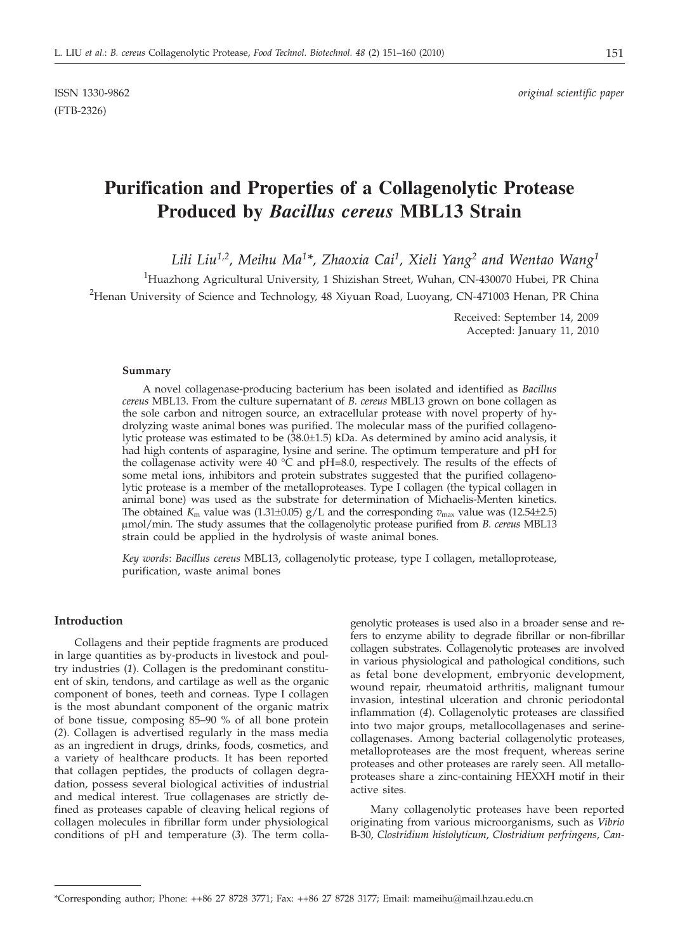ISSN 1330-9862 *original scientific paper*

# **Purification and Properties of a Collagenolytic Protease Produced by** *Bacillus cereus* **MBL13 Strain**

*Lili Liu1,2, Meihu Ma1\*, Zhaoxia Cai1, Xieli Yang2 and Wentao Wang1*

<sup>1</sup>Huazhong Agricultural University, 1 Shizishan Street, Wuhan, CN-430070 Hubei, PR China  $^{2}$ Henan University of Science and Technology, 48 Xiyuan Road, Luoyang, CN-471003 Henan, PR China

> Received: September 14, 2009 Accepted: January 11, 2010

#### **Summary**

A novel collagenase-producing bacterium has been isolated and identified as *Bacillus cereus* MBL13. From the culture supernatant of *B. cereus* MBL13 grown on bone collagen as the sole carbon and nitrogen source, an extracellular protease with novel property of hydrolyzing waste animal bones was purified. The molecular mass of the purified collagenolytic protease was estimated to be (38.0±1.5) kDa. As determined by amino acid analysis, it had high contents of asparagine, lysine and serine. The optimum temperature and pH for the collagenase activity were 40  $^{\circ}$ C and pH=8.0, respectively. The results of the effects of some metal ions, inhibitors and protein substrates suggested that the purified collagenolytic protease is a member of the metalloproteases. Type I collagen (the typical collagen in animal bone) was used as the substrate for determination of Michaelis-Menten kinetics. The obtained  $K_m$  value was (1.31±0.05)  $g/L$  and the corresponding  $v_{\text{max}}$  value was (12.54±2.5) mmol/min. The study assumes that the collagenolytic protease purified from *B. cereus* MBL13 strain could be applied in the hydrolysis of waste animal bones.

*Key words*: *Bacillus cereus* MBL13, collagenolytic protease, type I collagen, metalloprotease, purification, waste animal bones

## **Introduction**

Collagens and their peptide fragments are produced in large quantities as by-products in livestock and poultry industries (*1*). Collagen is the predominant constituent of skin, tendons, and cartilage as well as the organic component of bones, teeth and corneas. Type I collagen is the most abundant component of the organic matrix of bone tissue, composing 85–90 % of all bone protein (*2*). Collagen is advertised regularly in the mass media as an ingredient in drugs, drinks, foods, cosmetics, and a variety of healthcare products. It has been reported that collagen peptides, the products of collagen degradation, possess several biological activities of industrial and medical interest. True collagenases are strictly defined as proteases capable of cleaving helical regions of collagen molecules in fibrillar form under physiological conditions of pH and temperature (*3*). The term colla-

genolytic proteases is used also in a broader sense and refers to enzyme ability to degrade fibrillar or non-fibrillar collagen substrates. Collagenolytic proteases are involved in various physiological and pathological conditions, such as fetal bone development, embryonic development, wound repair, rheumatoid arthritis, malignant tumour invasion, intestinal ulceration and chronic periodontal inflammation (*4*). Collagenolytic proteases are classified into two major groups, metallocollagenases and serinecollagenases. Among bacterial collagenolytic proteases, metalloproteases are the most frequent, whereas serine proteases and other proteases are rarely seen. All metalloproteases share a zinc-containing HEXXH motif in their active sites.

Many collagenolytic proteases have been reported originating from various microorganisms, such as *Vibrio* B-30, *Clostridium histolyticum*, *Clostridium perfringens*, *Can-*

<sup>\*</sup>Corresponding author; Phone: ++86 27 8728 3771; Fax: ++86 27 8728 3177; Email: mameihu@mail.hzau.edu.cn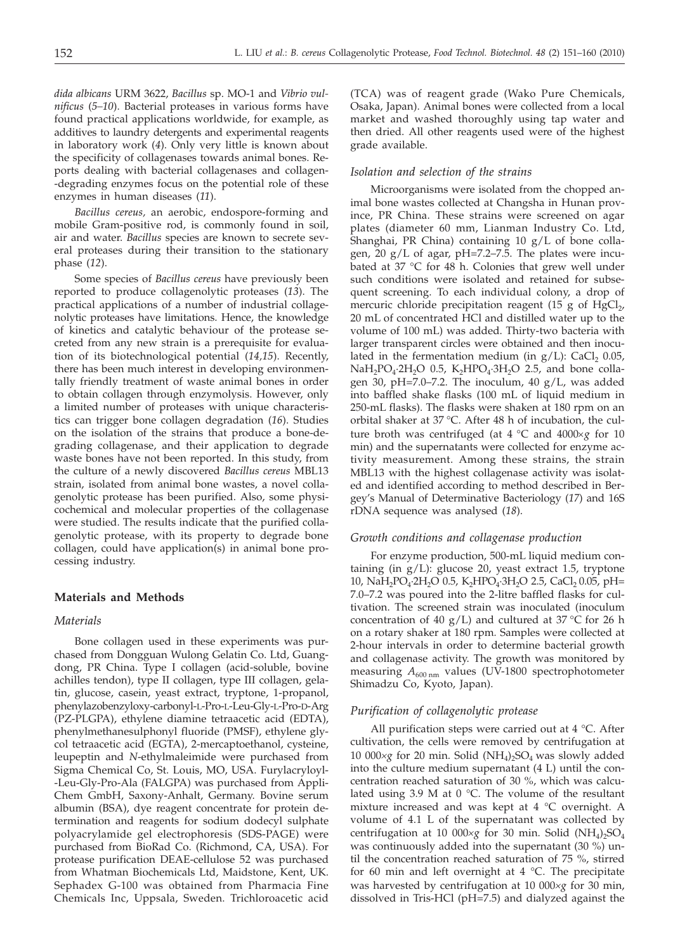*dida albicans* URM 3622, *Bacillus* sp. MO-1 and *Vibrio vulnificus* (*5–10*). Bacterial proteases in various forms have found practical applications worldwide, for example, as additives to laundry detergents and experimental reagents in laboratory work (*4*). Only very little is known about the specificity of collagenases towards animal bones. Reports dealing with bacterial collagenases and collagen- -degrading enzymes focus on the potential role of these enzymes in human diseases (*11*).

*Bacillus cereus,* an aerobic, endospore-forming and mobile Gram-positive rod, is commonly found in soil, air and water. *Bacillus* species are known to secrete several proteases during their transition to the stationary phase (*12*).

Some species of *Bacillus cereus* have previously been reported to produce collagenolytic proteases (*13*). The practical applications of a number of industrial collagenolytic proteases have limitations. Hence, the knowledge of kinetics and catalytic behaviour of the protease secreted from any new strain is a prerequisite for evaluation of its biotechnological potential (*14,15*). Recently, there has been much interest in developing environmentally friendly treatment of waste animal bones in order to obtain collagen through enzymolysis. However, only a limited number of proteases with unique characteristics can trigger bone collagen degradation (*16*). Studies on the isolation of the strains that produce a bone-degrading collagenase, and their application to degrade waste bones have not been reported. In this study, from the culture of a newly discovered *Bacillus cereus* MBL13 strain, isolated from animal bone wastes, a novel collagenolytic protease has been purified. Also, some physicochemical and molecular properties of the collagenase were studied. The results indicate that the purified collagenolytic protease, with its property to degrade bone collagen, could have application(s) in animal bone processing industry.

## **Materials and Methods**

## *Materials*

Bone collagen used in these experiments was purchased from Dongguan Wulong Gelatin Co. Ltd, Guangdong, PR China. Type I collagen (acid-soluble, bovine achilles tendon), type II collagen, type III collagen, gelatin, glucose, casein, yeast extract, tryptone, 1-propanol, phenylazobenzyloxy-carbonyl-L-Pro-L-Leu-Gly-L-Pro-D-Arg (PZ-PLGPA), ethylene diamine tetraacetic acid (EDTA), phenylmethanesulphonyl fluoride (PMSF), ethylene glycol tetraacetic acid (EGTA), 2-mercaptoethanol, cysteine, leupeptin and *N*-ethylmaleimide were purchased from Sigma Chemical Co, St. Louis, MO, USA. Furylacryloyl- -Leu-Gly-Pro-Ala (FALGPA) was purchased from Appli-Chem GmbH, Saxony-Anhalt, Germany. Bovine serum albumin (BSA), dye reagent concentrate for protein determination and reagents for sodium dodecyl sulphate polyacrylamide gel electrophoresis (SDS-PAGE) were purchased from BioRad Co. (Richmond, CA, USA). For protease purification DEAE-cellulose 52 was purchased from Whatman Biochemicals Ltd, Maidstone, Kent, UK. Sephadex G-100 was obtained from Pharmacia Fine Chemicals Inc, Uppsala, Sweden. Trichloroacetic acid

(TCA) was of reagent grade (Wako Pure Chemicals, Osaka, Japan). Animal bones were collected from a local market and washed thoroughly using tap water and then dried. All other reagents used were of the highest grade available.

#### *Isolation and selection of the strains*

Microorganisms were isolated from the chopped animal bone wastes collected at Changsha in Hunan province, PR China. These strains were screened on agar plates (diameter 60 mm, Lianman Industry Co. Ltd, Shanghai, PR China) containing 10 g/L of bone collagen, 20 g/L of agar, pH=7.2–7.5. The plates were incubated at 37 °C for 48 h. Colonies that grew well under such conditions were isolated and retained for subsequent screening. To each individual colony, a drop of mercuric chloride precipitation reagent (15 g of HgCl $_2$ , 20 mL of concentrated HCl and distilled water up to the volume of 100 mL) was added. Thirty-two bacteria with larger transparent circles were obtained and then inoculated in the fermentation medium (in  $g/L$ ): CaCl<sub>2</sub> 0.05,  $NaH<sub>2</sub>PO<sub>4</sub>·2H<sub>2</sub>O$  0.5,  $K<sub>2</sub>HPO<sub>4</sub>·3H<sub>2</sub>O$  2.5, and bone collagen 30, pH=7.0–7.2. The inoculum, 40  $g/L$ , was added into baffled shake flasks (100 mL of liquid medium in 250-mL flasks). The flasks were shaken at 180 rpm on an orbital shaker at 37 °C. After 48 h of incubation, the culture broth was centrifuged (at  $4^{\circ}$ C and  $4000\times\varrho$  for 10 min) and the supernatants were collected for enzyme activity measurement. Among these strains, the strain MBL13 with the highest collagenase activity was isolated and identified according to method described in Bergey's Manual of Determinative Bacteriology (*17*) and 16S rDNA sequence was analysed (*18*).

## *Growth conditions and collagenase production*

For enzyme production, 500-mL liquid medium containing (in g/L): glucose 20, yeast extract 1.5, tryptone 10, NaH<sub>2</sub>PO<sub>4</sub>·2H<sub>2</sub>O 0.5, K<sub>2</sub>HPO<sub>4</sub>·3H<sub>2</sub>O 2.5, CaCl<sub>2</sub> 0.05, pH= 7.0–7.2 was poured into the 2-litre baffled flasks for cultivation. The screened strain was inoculated (inoculum concentration of 40 g/L) and cultured at 37  $\degree$ C for 26 h on a rotary shaker at 180 rpm*.* Samples were collected at 2-hour intervals in order to determine bacterial growth and collagenase activity. The growth was monitored by measuring  $A_{600 \text{ nm}}$  values (UV-1800 spectrophotometer Shimadzu Co, Kyoto, Japan).

#### *Purification of collagenolytic protease*

All purification steps were carried out at 4 °C. After cultivation, the cells were removed by centrifugation at 10 000 $\times$ g for 20 min. Solid (NH<sub>4</sub>)<sub>2</sub>SO<sub>4</sub> was slowly added into the culture medium supernatant (4 L) until the concentration reached saturation of 30 %, which was calculated using 3.9 M at  $0^{\circ}$ C. The volume of the resultant mixture increased and was kept at 4 °C overnight. A volume of 4.1 L of the supernatant was collected by centrifugation at 10 000 $\times$ *g* for 30 min. Solid (NH<sub>4</sub>)<sub>2</sub>SO<sub>4</sub> was continuously added into the supernatant (30 %) until the concentration reached saturation of 75 %, stirred for 60 min and left overnight at  $4 \degree C$ . The precipitate was harvested by centrifugation at 10 000*´<sup>g</sup>* for 30 min, dissolved in Tris-HCl (pH=7.5) and dialyzed against the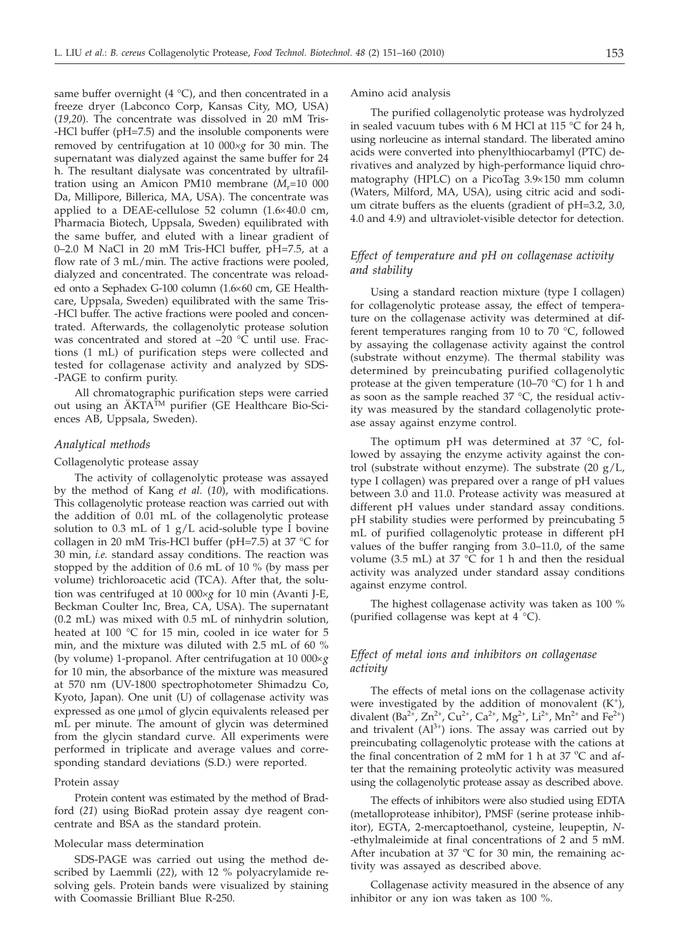same buffer overnight (4  $^{\circ}$ C), and then concentrated in a freeze dryer (Labconco Corp, Kansas City, MO, USA) (*19,20*). The concentrate was dissolved in 20 mM Tris- -HCl buffer (pH=7.5) and the insoluble components were removed by centrifugation at 10 000*´<sup>g</sup>* for 30 min. The supernatant was dialyzed against the same buffer for 24 h. The resultant dialysate was concentrated by ultrafiltration using an Amicon PM10 membrane  $(M_r=10\ 000$ Da, Millipore, Billerica, MA, USA). The concentrate was applied to a DEAE-cellulose 52 column  $(1.6 \times 40.0 \text{ cm},$ Pharmacia Biotech, Uppsala, Sweden) equilibrated with the same buffer, and eluted with a linear gradient of 0–2.0 M NaCl in 20 mM Tris-HCl buffer, pH=7.5, at a flow rate of 3 mL/min. The active fractions were pooled, dialyzed and concentrated. The concentrate was reloaded onto a Sephadex G-100 column (1.6×60 cm, GE Healthcare, Uppsala, Sweden) equilibrated with the same Tris- -HCl buffer. The active fractions were pooled and concentrated. Afterwards, the collagenolytic protease solution was concentrated and stored at  $-20$  °C until use. Fractions (1 mL) of purification steps were collected and tested for collagenase activity and analyzed by SDS- -PAGE to confirm purity.

All chromatographic purification steps were carried out using an ÄKTATM purifier (GE Healthcare Bio-Sciences AB, Uppsala, Sweden).

## *Analytical methods*

#### Collagenolytic protease assay

The activity of collagenolytic protease was assayed by the method of Kang *et al.* (*10*), with modifications. This collagenolytic protease reaction was carried out with the addition of 0.01 mL of the collagenolytic protease solution to 0.3 mL of 1  $g/L$  acid-soluble type I bovine collagen in 20 mM Tris-HCl buffer (pH=7.5) at 37 °C for 30 min, *i.e.* standard assay conditions. The reaction was stopped by the addition of 0.6 mL of 10 % (by mass per volume) trichloroacetic acid (TCA). After that, the solution was centrifuged at 10 000×g for 10 min (Avanti J-E, Beckman Coulter Inc, Brea, CA, USA). The supernatant (0.2 mL) was mixed with 0.5 mL of ninhydrin solution, heated at 100 °C for 15 min, cooled in ice water for 5 min, and the mixture was diluted with 2.5 mL of 60 % (by volume) 1-propanol. After centrifugation at 10 000´*g* for 10 min, the absorbance of the mixture was measured at 570 nm (UV-1800 spectrophotometer Shimadzu Co, Kyoto, Japan). One unit (U) of collagenase activity was expressed as one µmol of glycin equivalents released per mL per minute. The amount of glycin was determined from the glycin standard curve. All experiments were performed in triplicate and average values and corresponding standard deviations (S.D.) were reported.

#### Protein assay

Protein content was estimated by the method of Bradford (*21*) using BioRad protein assay dye reagent concentrate and BSA as the standard protein.

#### Molecular mass determination

SDS-PAGE was carried out using the method described by Laemmli (*22*), with 12 % polyacrylamide resolving gels. Protein bands were visualized by staining with Coomassie Brilliant Blue R-250.

#### Amino acid analysis

The purified collagenolytic protease was hydrolyzed in sealed vacuum tubes with 6 M HCl at 115 °C for 24 h, using norleucine as internal standard. The liberated amino acids were converted into phenylthiocarbamyl (PTC) derivatives and analyzed by high-performance liquid chromatography (HPLC) on a PicoTag 3.9×150 mm column (Waters, Milford, MA, USA), using citric acid and sodium citrate buffers as the eluents (gradient of pH=3.2, 3.0, 4.0 and 4.9) and ultraviolet-visible detector for detection.

## *Effect of temperature and pH on collagenase activity and stability*

Using a standard reaction mixture (type I collagen) for collagenolytic protease assay, the effect of temperature on the collagenase activity was determined at different temperatures ranging from 10 to 70 °C, followed by assaying the collagenase activity against the control (substrate without enzyme). The thermal stability was determined by preincubating purified collagenolytic protease at the given temperature (10–70 °C) for 1 h and as soon as the sample reached 37 °C, the residual activity was measured by the standard collagenolytic protease assay against enzyme control.

The optimum pH was determined at 37 °C, followed by assaying the enzyme activity against the control (substrate without enzyme). The substrate  $(20 \text{ g/L}$ , type I collagen) was prepared over a range of pH values between 3.0 and 11.0. Protease activity was measured at different pH values under standard assay conditions. pH stability studies were performed by preincubating 5 mL of purified collagenolytic protease in different pH values of the buffer ranging from 3.0–11.0, of the same volume (3.5 mL) at 37  $\degree$ C for 1 h and then the residual activity was analyzed under standard assay conditions against enzyme control.

The highest collagenase activity was taken as 100 % (purified collagense was kept at  $4 \degree C$ ).

## *Effect of metal ions and inhibitors on collagenase activity*

The effects of metal ions on the collagenase activity were investigated by the addition of monovalent  $(K^+)$ , divalent (Ba<sup>2+</sup>, Zn<sup>2+</sup>, Cu<sup>2+</sup>, Ca<sup>2+</sup>, Mg<sup>2+</sup>, Li<sup>2+</sup>, Mn<sup>2+</sup> and Fe<sup>2+</sup>) and trivalent  $(AI^{3+})$  ions. The assay was carried out by preincubating collagenolytic protease with the cations at the final concentration of 2 mM for 1 h at 37  $^{\circ}$ C and after that the remaining proteolytic activity was measured using the collagenolytic protease assay as described above.

The effects of inhibitors were also studied using EDTA (metalloprotease inhibitor), PMSF (serine protease inhibitor), EGTA, 2-mercaptoethanol, cysteine, leupeptin, *N*- -ethylmaleimide at final concentrations of 2 and 5 mM. After incubation at 37  $^{\circ}$ C for 30 min, the remaining activity was assayed as described above.

Collagenase activity measured in the absence of any inhibitor or any ion was taken as 100 %.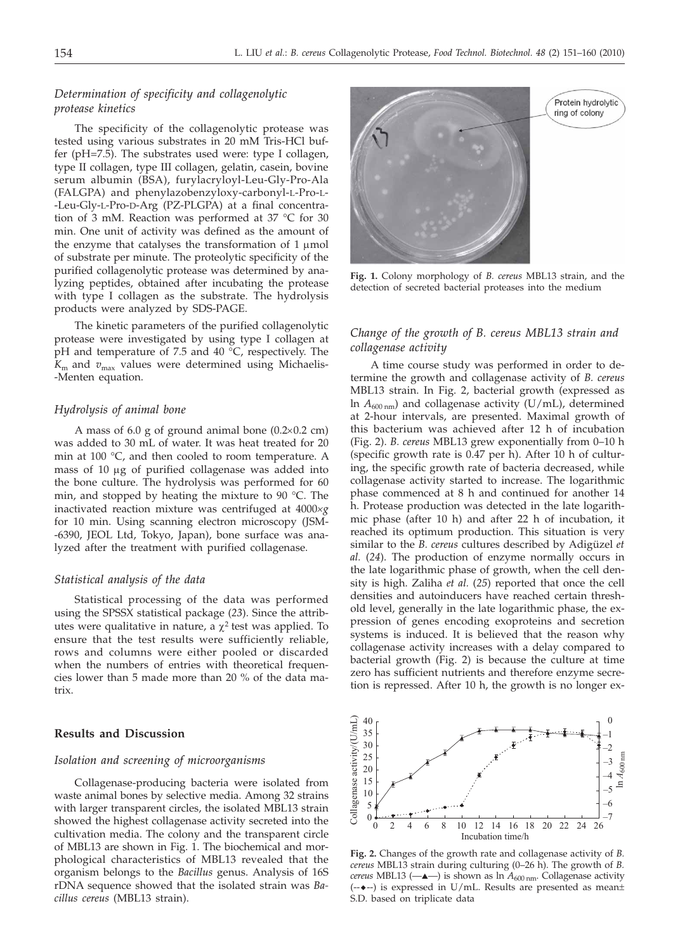## *Determination of specificity and collagenolytic protease kinetics*

The specificity of the collagenolytic protease was tested using various substrates in 20 mM Tris-HCl buffer (pH=7.5). The substrates used were: type I collagen, type II collagen, type III collagen, gelatin, casein, bovine serum albumin (BSA), furylacryloyl-Leu-Gly-Pro-Ala (FALGPA) and phenylazobenzyloxy-carbonyl-L-Pro-L- -Leu-Gly-L-Pro-D-Arg (PZ-PLGPA) at a final concentration of 3 mM. Reaction was performed at 37 °C for 30 min. One unit of activity was defined as the amount of the enzyme that catalyses the transformation of  $1 \mu$ mol of substrate per minute. The proteolytic specificity of the purified collagenolytic protease was determined by analyzing peptides, obtained after incubating the protease with type I collagen as the substrate. The hydrolysis products were analyzed by SDS-PAGE.

The kinetic parameters of the purified collagenolytic protease were investigated by using type I collagen at pH and temperature of 7.5 and 40 °C, respectively. The  $K<sub>m</sub>$  and  $v<sub>max</sub>$  values were determined using Michaelis--Menten equation.

## *Hydrolysis of animal bone*

A mass of 6.0 g of ground animal bone  $(0.2\times0.2 \text{ cm})$ was added to 30 mL of water. It was heat treated for 20 min at 100 °C, and then cooled to room temperature. A mass of 10 µg of purified collagenase was added into the bone culture. The hydrolysis was performed for 60 min, and stopped by heating the mixture to 90 °C. The inactivated reaction mixture was centrifuged at 4000*´<sup>g</sup>* for 10 min. Using scanning electron microscopy (JSM- -6390, JEOL Ltd, Tokyo, Japan), bone surface was analyzed after the treatment with purified collagenase.

## *Statistical analysis of the data*

Statistical processing of the data was performed using the SPSSX statistical package (*23*). Since the attributes were qualitative in nature, a  $\chi^2$  test was applied. To ensure that the test results were sufficiently reliable, rows and columns were either pooled or discarded when the numbers of entries with theoretical frequencies lower than 5 made more than 20 % of the data matrix.

## **Results and Discussion**

## *Isolation and screening of microorganisms*

Collagenase-producing bacteria were isolated from waste animal bones by selective media. Among 32 strains with larger transparent circles, the isolated MBL13 strain showed the highest collagenase activity secreted into the cultivation media. The colony and the transparent circle of MBL13 are shown in Fig. 1. The biochemical and morphological characteristics of MBL13 revealed that the organism belongs to the *Bacillus* genus. Analysis of 16S rDNA sequence showed that the isolated strain was *Bacillus cereus* (MBL13 strain).



**Fig. 1.** Colony morphology of *B. cereus* MBL13 strain, and the detection of secreted bacterial proteases into the medium

## *Change of the growth of B. cereus MBL13 strain and collagenase activity*

A time course study was performed in order to determine the growth and collagenase activity of *B. cereus* MBL13 strain. In Fig. 2, bacterial growth (expressed as ln  $A_{600 \text{ nm}}$ ) and collagenase activity (U/mL), determined at 2-hour intervals, are presented. Maximal growth of this bacterium was achieved after 12 h of incubation (Fig. 2). *B. cereus* MBL13 grew exponentially from 0–10 h (specific growth rate is 0.47 per h). After 10 h of culturing, the specific growth rate of bacteria decreased, while collagenase activity started to increase. The logarithmic phase commenced at 8 h and continued for another 14 h. Protease production was detected in the late logarithmic phase (after 10 h) and after 22 h of incubation, it reached its optimum production. This situation is very similar to the *B. cereus* cultures described by Adigüzel *et al.* (*24*). The production of enzyme normally occurs in the late logarithmic phase of growth, when the cell density is high. Zaliha *et al.* (*25*) reported that once the cell densities and autoinducers have reached certain threshold level, generally in the late logarithmic phase, the expression of genes encoding exoproteins and secretion systems is induced. It is believed that the reason why collagenase activity increases with a delay compared to bacterial growth (Fig. 2) is because the culture at time zero has sufficient nutrients and therefore enzyme secretion is repressed. After 10 h, the growth is no longer ex-



**Fig. 2.** Changes of the growth rate and collagenase activity of *B. cereus* MBL13 strain during culturing (0–26 h). The growth of *B. cereus* MBL13 ( $\longrightarrow$ ) is shown as ln  $A_{600 \text{ nm}}$ . Collagenase activity (-- $\leftarrow$ --) is expressed in U/mL. Results are presented as mean $\pm$ S.D. based on triplicate data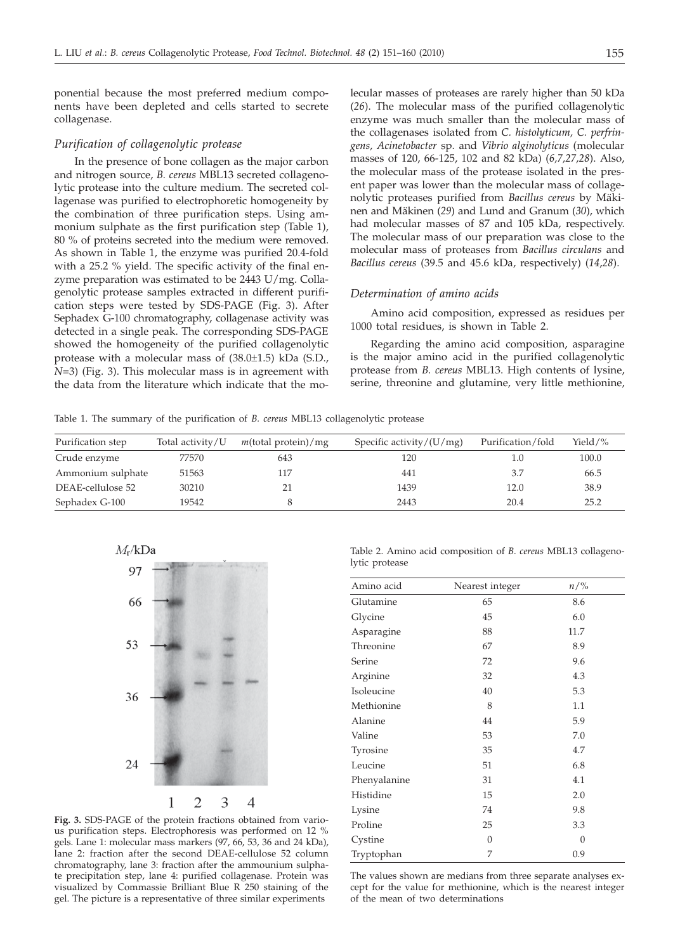ponential because the most preferred medium components have been depleted and cells started to secrete collagenase.

#### *Purification of collagenolytic protease*

In the presence of bone collagen as the major carbon and nitrogen source, *B. cereus* MBL13 secreted collagenolytic protease into the culture medium. The secreted collagenase was purified to electrophoretic homogeneity by the combination of three purification steps. Using ammonium sulphate as the first purification step (Table 1), 80 % of proteins secreted into the medium were removed. As shown in Table 1, the enzyme was purified 20.4-fold with a 25.2 % yield. The specific activity of the final enzyme preparation was estimated to be 2443 U/mg. Collagenolytic protease samples extracted in different purification steps were tested by SDS-PAGE (Fig. 3). After Sephadex G-100 chromatography, collagenase activity was detected in a single peak. The corresponding SDS-PAGE showed the homogeneity of the purified collagenolytic protease with a molecular mass of (38.0±1.5) kDa (S.D., *N*=3) (Fig. 3). This molecular mass is in agreement with the data from the literature which indicate that the mo-

lecular masses of proteases are rarely higher than 50 kDa (*26*). The molecular mass of the purified collagenolytic enzyme was much smaller than the molecular mass of the collagenases isolated from *C. histolyticum, C. perfringens, Acinetobacter* sp. and *Vibrio alginolyticus* (molecular masses of 120, 66-125, 102 and 82 kDa) (*6,7,27,28*). Also, the molecular mass of the protease isolated in the present paper was lower than the molecular mass of collagenolytic proteases purified from *Bacillus cereus* by Mäkinen and Mäkinen (*29*) and Lund and Granum (*30*), which had molecular masses of 87 and 105 kDa, respectively. The molecular mass of our preparation was close to the molecular mass of proteases from *Bacillus circulans* and *Bacillus cereus* (39.5 and 45.6 kDa, respectively) (*14*,*28*).

#### *Determination of amino acids*

Amino acid composition, expressed as residues per 1000 total residues, is shown in Table 2.

Regarding the amino acid composition, asparagine is the major amino acid in the purified collagenolytic protease from *B. cereus* MBL13. High contents of lysine, serine, threonine and glutamine, very little methionine,

Table 1. The summary of the purification of *B. cereus* MBL13 collagenolytic protease

| Purification step | Total activity/U | $m$ (total protein)/mg | Specific activity/ $(U/mg)$ | Purification/fold | Yield/% |  |
|-------------------|------------------|------------------------|-----------------------------|-------------------|---------|--|
| Crude enzyme      | 77570            | 643                    | 120                         | 1.0               | 100.0   |  |
| Ammonium sulphate | 51563            | 117                    | 441                         | 3.7               | 66.5    |  |
| DEAE-cellulose 52 | 30210            | 21                     | 1439                        | 12.0              | 38.9    |  |
| Sephadex G-100    | 19542            |                        | 2443                        | 20.4              | 25.2    |  |
|                   |                  |                        |                             |                   |         |  |



**Fig. 3.** SDS-PAGE of the protein fractions obtained from various purification steps. Electrophoresis was performed on 12 % gels. Lane 1: molecular mass markers (97, 66, 53, 36 and 24 kDa), lane 2: fraction after the second DEAE-cellulose 52 column chromatography, lane 3: fraction after the ammounium sulphate precipitation step, lane 4: purified collagenase. Protein was visualized by Commassie Brilliant Blue R 250 staining of the gel. The picture is a representative of three similar experiments

Table 2. Amino acid composition of *B. cereus* MBL13 collagenolytic protease

| Amino acid   | Nearest integer | $n/\%$   |  |
|--------------|-----------------|----------|--|
| Glutamine    | 65              | 8.6      |  |
| Glycine      | 45              | 6.0      |  |
| Asparagine   | 88              | 11.7     |  |
| Threonine    | 67              | 8.9      |  |
| Serine       | 72              | 9.6      |  |
| Arginine     | 32              | 4.3      |  |
| Isoleucine   | 40              | 5.3      |  |
| Methionine   | 8               | 1.1      |  |
| Alanine      | 44              | 5.9      |  |
| Valine       | 53              | 7.0      |  |
| Tyrosine     | 35              | 4.7      |  |
| Leucine      | 51              | 6.8      |  |
| Phenyalanine | 31              | 4.1      |  |
| Histidine    | 15              | 2.0      |  |
| Lysine       | 74              | 9.8      |  |
| Proline      | 25              | 3.3      |  |
| Cystine      | $\Omega$        | $\Omega$ |  |
| Tryptophan   | 7               | 0.9      |  |

The values shown are medians from three separate analyses except for the value for methionine, which is the nearest integer of the mean of two determinations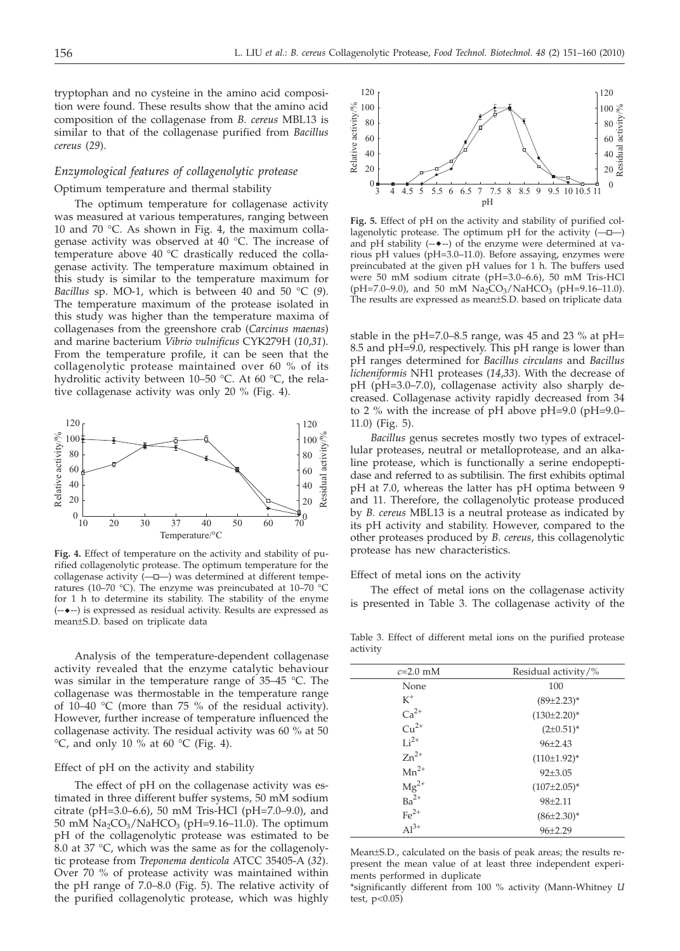tryptophan and no cysteine in the amino acid composition were found. These results show that the amino acid composition of the collagenase from *B. cereus* MBL13 is similar to that of the collagenase purified from *Bacillus cereus* (*29*).

## *Enzymological features of collagenolytic protease*

## Optimum temperature and thermal stability

The optimum temperature for collagenase activity was measured at various temperatures, ranging between 10 and 70 °C. As shown in Fig. 4, the maximum collagenase activity was observed at 40 °C. The increase of temperature above 40 °C drastically reduced the collagenase activity. The temperature maximum obtained in this study is similar to the temperature maximum for *Bacillus* sp. MO-1, which is between 40 and 50 °C (*9*). The temperature maximum of the protease isolated in this study was higher than the temperature maxima of collagenases from the greenshore crab (*Carcinus maenas*) and marine bacterium *Vibrio vulnificus* CYK279H (*10*,*31*). From the temperature profile, it can be seen that the collagenolytic protease maintained over 60 % of its hydrolitic activity between 10–50 °C. At 60 °C, the relative collagenase activity was only 20 % (Fig. 4).



**Fig. 4.** Effect of temperature on the activity and stability of purified collagenolytic protease. The optimum temperature for the collagenase activity  $(-\Box-)$  was determined at different temperatures (10–70 °C). The enzyme was preincubated at 10–70 °C for 1 h to determine its stability. The stability of the enyme (----) is expressed as residual activity. Results are expressed as mean±S.D. based on triplicate data

Analysis of the temperature-dependent collagenase activity revealed that the enzyme catalytic behaviour was similar in the temperature range of 35–45 °C. The collagenase was thermostable in the temperature range of 10–40 °C (more than 75 % of the residual activity). However, further increase of temperature influenced the collagenase activity. The residual activity was 60 % at 50  $\rm{°C}$ , and only 10 % at 60  $\rm{°C}$  (Fig. 4).

## Effect of pH on the activity and stability

The effect of pH on the collagenase activity was estimated in three different buffer systems, 50 mM sodium citrate (pH=3.0–6.6), 50 mM Tris-HCl (pH=7.0–9.0), and 50 mM  $\text{Na}_2\text{CO}_3/\text{NaHCO}_3$  (pH=9.16–11.0). The optimum pH of the collagenolytic protease was estimated to be 8.0 at 37 °C, which was the same as for the collagenolytic protease from *Treponema denticola* ATCC 35405-A (*32*). Over 70 % of protease activity was maintained within the pH range of 7.0–8.0 (Fig. 5). The relative activity of the purified collagenolytic protease, which was highly



**Fig. 5.** Effect of pH on the activity and stability of purified collagenolytic protease. The optimum pH for the activity  $(-\Box -)$ and pH stability  $(-\bullet-)$  of the enzyme were determined at various pH values (pH=3.0–11.0). Before assaying, enzymes were preincubated at the given pH values for 1 h. The buffers used were 50 mM sodium citrate (pH=3.0–6.6), 50 mM Tris-HCl (pH=7.0–9.0), and 50 mM  $\text{Na}_2\text{CO}_3/\text{NaHCO}_3$  (pH=9.16–11.0). The results are expressed as mean±S.D. based on triplicate data

stable in the pH=7.0–8.5 range, was 45 and 23 % at pH= 8.5 and pH=9.0, respectively. This pH range is lower than pH ranges determined for *Bacillus circulans* and *Bacillus licheniformis* NH1 proteases (*14*,*33*). With the decrease of pH (pH=3.0–7.0), collagenase activity also sharply decreased. Collagenase activity rapidly decreased from 34 to 2 % with the increase of pH above pH=9.0 (pH=9.0– 11.0) (Fig. 5).

*Bacillus* genus secretes mostly two types of extracellular proteases, neutral or metalloprotease, and an alkaline protease, which is functionally a serine endopeptidase and referred to as subtilisin. The first exhibits optimal pH at 7.0, whereas the latter has pH optima between 9 and 11. Therefore, the collagenolytic protease produced by *B. cereus* MBL13 is a neutral protease as indicated by its pH activity and stability. However, compared to the other proteases produced by *B. cereus*, this collagenolytic protease has new characteristics.

Effect of metal ions on the activity

The effect of metal ions on the collagenase activity is presented in Table 3. The collagenase activity of the

Table 3. Effect of different metal ions on the purified protease activity

| $c=2.0$ mM                              | Residual activity/% |
|-----------------------------------------|---------------------|
| None                                    | 100                 |
| $K^+$                                   | $(89\pm2.23)^*$     |
| $Ca2+$                                  | $(130\pm2.20)^*$    |
| $Cu^{2+}$                               | $(2\pm 0.51)^*$     |
| $Li2+$                                  | $96 \pm 2.43$       |
| $Zn^{2+}$                               | $(110\pm1.92)^{*}$  |
| $Mn^{2+}$                               | $92{\pm}3.05$       |
| $Mg^{2+}$                               | $(107\pm2.05)^*$    |
| $Ba^{2+}$                               | $98 + 2.11$         |
| $\frac{\text{Fe}^{2+}}{\text{Al}^{3+}}$ | $(86\pm2.30)^*$     |
|                                         | $96 \pm 2.29$       |

Mean±S.D., calculated on the basis of peak areas; the results represent the mean value of at least three independent experiments performed in duplicate

\*significantly different from 100 % activity (Mann-Whitney *U* test,  $p < 0.05$ )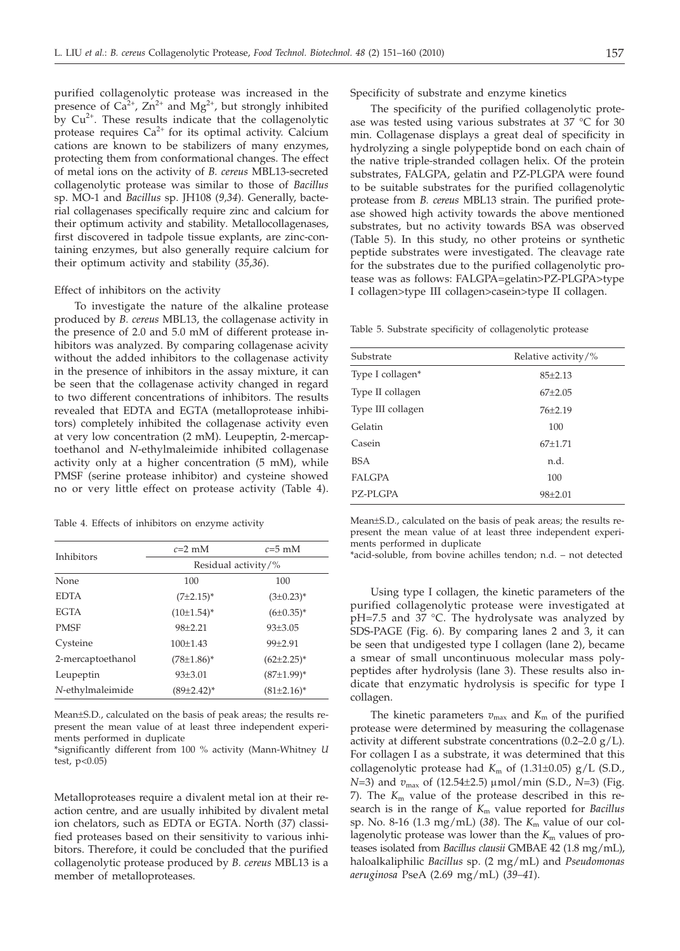purified collagenolytic protease was increased in the presence of  $Ca^{2+}$ ,  $Zn^{2+}$  and  $Mg^{2+}$ , but strongly inhibited by  $Cu<sup>2+</sup>$ . These results indicate that the collagenolytic protease requires  $Ca^{2+}$  for its optimal activity. Calcium cations are known to be stabilizers of many enzymes, protecting them from conformational changes. The effect of metal ions on the activity of *B. cereus* MBL13-secreted collagenolytic protease was similar to those of *Bacillus* sp. MO-1 and *Bacillus* sp. JH108 (*9,34*). Generally, bacterial collagenases specifically require zinc and calcium for their optimum activity and stability*.* Metallocollagenases, first discovered in tadpole tissue explants, are zinc-containing enzymes, but also generally require calcium for their optimum activity and stability (*35*,*36*).

#### Effect of inhibitors on the activity

To investigate the nature of the alkaline protease produced by *B. cereus* MBL13, the collagenase activity in the presence of 2.0 and 5.0 mM of different protease inhibitors was analyzed. By comparing collagenase acivity without the added inhibitors to the collagenase activity in the presence of inhibitors in the assay mixture, it can be seen that the collagenase activity changed in regard to two different concentrations of inhibitors. The results revealed that EDTA and EGTA (metalloprotease inhibitors) completely inhibited the collagenase activity even at very low concentration (2 mM). Leupeptin, 2-mercaptoethanol and *N*-ethylmaleimide inhibited collagenase activity only at a higher concentration (5 mM), while PMSF (serine protease inhibitor) and cysteine showed no or very little effect on protease activity (Table 4).

Table 4. Effects of inhibitors on enzyme activity

| Inhibitors        | $c=2$ mM            | $c=5$ mM         |  |
|-------------------|---------------------|------------------|--|
|                   | Residual activity/% |                  |  |
| None              | 100                 | 100              |  |
| <b>EDTA</b>       | $(7±2.15)^*$        | $(3\pm0.23)^{*}$ |  |
| <b>EGTA</b>       | $(10\pm1.54)^{*}$   | $(6\pm0.35)^*$   |  |
| <b>PMSF</b>       | $98 + 2.21$         | $93 + 3.05$      |  |
| Cysteine          | $100+1.43$          | $99 + 2.91$      |  |
| 2-mercaptoethanol | $(78 \pm 1.86)^*$   | $(62\pm2.25)^*$  |  |
| Leupeptin         | 93±3.01             | $(87±1.99)^*$    |  |
| N-ethylmaleimide  | $(89\pm2.42)^*$     | $(81\pm2.16)^*$  |  |

Mean±S.D., calculated on the basis of peak areas; the results represent the mean value of at least three independent experiments performed in duplicate

\*significantly different from 100 % activity (Mann-Whitney *U* test,  $p < 0.05$ )

Metalloproteases require a divalent metal ion at their reaction centre, and are usually inhibited by divalent metal ion chelators, such as EDTA or EGTA. North (*37*) classified proteases based on their sensitivity to various inhibitors. Therefore, it could be concluded that the purified collagenolytic protease produced by *B. cereus* MBL13 is a member of metalloproteases.

Specificity of substrate and enzyme kinetics

The specificity of the purified collagenolytic protease was tested using various substrates at 37 °C for 30 min. Collagenase displays a great deal of specificity in hydrolyzing a single polypeptide bond on each chain of the native triple-stranded collagen helix. Of the protein substrates, FALGPA, gelatin and PZ-PLGPA were found to be suitable substrates for the purified collagenolytic protease from *B. cereus* MBL13 strain. The purified protease showed high activity towards the above mentioned substrates, but no activity towards BSA was observed (Table 5). In this study, no other proteins or synthetic peptide substrates were investigated. The cleavage rate for the substrates due to the purified collagenolytic protease was as follows: FALGPA=gelatin>PZ-PLGPA>type I collagen>type III collagen>casein>type II collagen.

Table 5. Substrate specificity of collagenolytic protease

| Substrate         | Relative activity/% |
|-------------------|---------------------|
| Type I collagen*  | $85 \pm 2.13$       |
| Type II collagen  | $67+2.05$           |
| Type III collagen | $76 + 2.19$         |
| Gelatin           | 100                 |
| Casein            | $67+1.71$           |
| BSA               | n.d.                |
| <b>FALGPA</b>     | 100                 |
| <b>PZ-PLGPA</b>   | $98 + 2.01$         |

Mean±S.D., calculated on the basis of peak areas; the results represent the mean value of at least three independent experiments performed in duplicate

\*acid-soluble, from bovine achilles tendon; n.d. – not detected

Using type I collagen, the kinetic parameters of the purified collagenolytic protease were investigated at pH=7.5 and 37 °C. The hydrolysate was analyzed by SDS-PAGE (Fig. 6). By comparing lanes 2 and 3, it can be seen that undigested type I collagen (lane 2), became a smear of small uncontinuous molecular mass polypeptides after hydrolysis (lane 3). These results also indicate that enzymatic hydrolysis is specific for type I collagen.

The kinetic parameters  $v_{\text{max}}$  and  $K_{\text{m}}$  of the purified protease were determined by measuring the collagenase activity at different substrate concentrations  $(0.2-2.0 \text{ g/L})$ . For collagen I as a substrate, it was determined that this collagenolytic protease had  $K_m$  of  $(1.31\pm0.05)$  g/L (S.D., *N*=3) and *v*<sub>max</sub> of (12.54±2.5) μmol/min (S.D., *N*=3) (Fig. 7). The  $K<sub>m</sub>$  value of the protease described in this research is in the range of *K*<sup>m</sup> value reported for *Bacillus* sp. No. 8-16 (1.3 mg/mL) (*38*). The *K*<sup>m</sup> value of our collagenolytic protease was lower than the  $K<sub>m</sub>$  values of proteases isolated from *Bacillus clausii* GMBAE 42 (1.8 mg/mL), haloalkaliphilic *Bacillus* sp. (2 mg/mL) and *Pseudomonas aeruginosa* PseA (2.69 mg/mL) (*39–41*).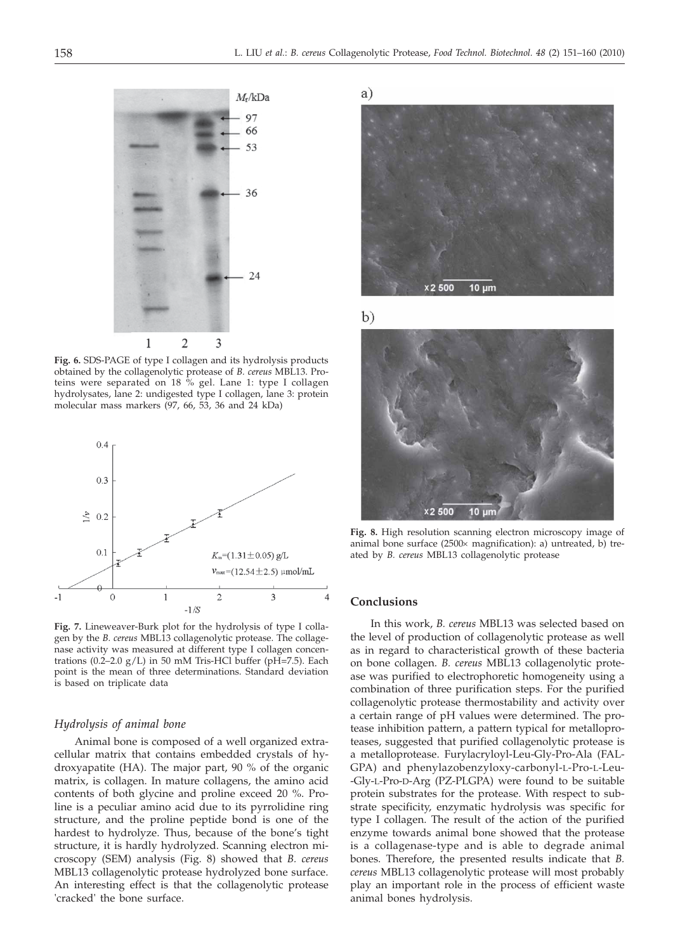

**Fig. 6.** SDS-PAGE of type I collagen and its hydrolysis products obtained by the collagenolytic protease of *B. cereus* MBL13. Proteins were separated on 18 % gel. Lane 1: type I collagen hydrolysates, lane 2: undigested type I collagen, lane 3: protein molecular mass markers (97, 66, 53, 36 and 24 kDa)

![](_page_7_Figure_4.jpeg)

**Fig. 7.** Lineweaver-Burk plot for the hydrolysis of type I collagen by the *B. cereus* MBL13 collagenolytic protease. The collagenase activity was measured at different type I collagen concentrations (0.2–2.0  $g/L$ ) in 50 mM Tris-HCl buffer (pH=7.5). Each point is the mean of three determinations. Standard deviation is based on triplicate data

#### *Hydrolysis of animal bone*

Animal bone is composed of a well organized extracellular matrix that contains embedded crystals of hydroxyapatite (HA). The major part, 90 % of the organic matrix, is collagen. In mature collagens, the amino acid contents of both glycine and proline exceed 20 %. Proline is a peculiar amino acid due to its pyrrolidine ring structure, and the proline peptide bond is one of the hardest to hydrolyze. Thus, because of the bone's tight structure, it is hardly hydrolyzed. Scanning electron microscopy (SEM) analysis (Fig. 8) showed that *B. cereus* MBL13 collagenolytic protease hydrolyzed bone surface. An interesting effect is that the collagenolytic protease 'cracked' the bone surface.

![](_page_7_Picture_8.jpeg)

 $b)$ 

![](_page_7_Picture_10.jpeg)

**Fig. 8.** High resolution scanning electron microscopy image of animal bone surface  $(2500 \times$  magnification): a) untreated, b) treated by *B. cereus* MBL13 collagenolytic protease

## **Conclusions**

In this work, *B. cereus* MBL13 was selected based on the level of production of collagenolytic protease as well as in regard to characteristical growth of these bacteria on bone collagen. *B. cereus* MBL13 collagenolytic protease was purified to electrophoretic homogeneity using a combination of three purification steps. For the purified collagenolytic protease thermostability and activity over a certain range of pH values were determined. The protease inhibition pattern, a pattern typical for metalloproteases, suggested that purified collagenolytic protease is a metalloprotease. Furylacryloyl-Leu-Gly-Pro-Ala (FAL-GPA) and phenylazobenzyloxy-carbonyl-L-Pro-L-Leu- -Gly-L-Pro-D-Arg (PZ-PLGPA) were found to be suitable protein substrates for the protease. With respect to substrate specificity, enzymatic hydrolysis was specific for type I collagen. The result of the action of the purified enzyme towards animal bone showed that the protease is a collagenase-type and is able to degrade animal bones. Therefore, the presented results indicate that *B. cereus* MBL13 collagenolytic protease will most probably play an important role in the process of efficient waste animal bones hydrolysis.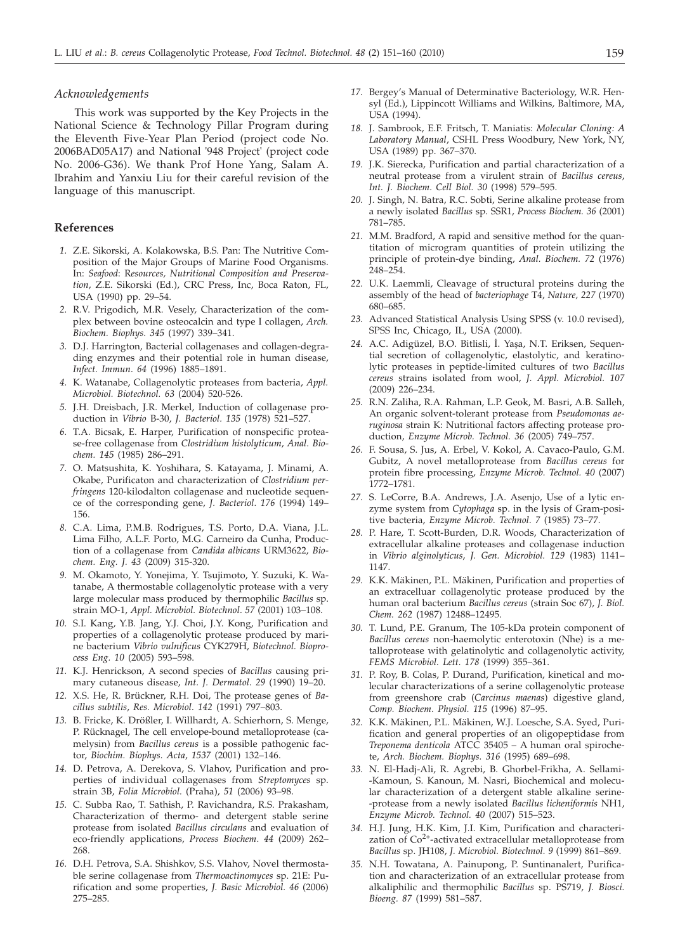#### *Acknowledgements*

This work was supported by the Key Projects in the National Science & Technology Pillar Program during the Eleventh Five-Year Plan Period (project code No. 2006BAD05A17) and National '948 Project' (project code No. 2006-G36). We thank Prof Hone Yang, Salam A. Ibrahim and Yanxiu Liu for their careful revision of the language of this manuscript.

## **References**

- *1.* Z.E. Sikorski, A. Kolakowska, B.S. Pan: The Nutritive Composition of the Major Groups of Marine Food Organisms. In: *Seafood*: R*esources, Nutritional Composition and Preservation*, Z.E. Sikorski (Ed.), CRC Press, Inc, Boca Raton, FL, USA (1990) pp*.* 29–54.
- *2.* R.V. Prigodich, M.R. Vesely, Characterization of the complex between bovine osteocalcin and type I collagen, *Arch. Biochem. Biophys. 345* (1997) 339–341.
- *3.* D.J. Harrington, Bacterial collagenases and collagen-degrading enzymes and their potential role in human disease, *Infect. Immun*. *64* (1996) 1885–1891.
- *4.* K. Watanabe, Collagenolytic proteases from bacteria, *Appl. Microbiol. Biotechnol. 63* (2004) 520-526.
- *5.* J.H. Dreisbach, J.R. Merkel, Induction of collagenase production in *Vibrio* B-30, *J. Bacteriol. 135* (1978) 521–527.
- *6.* T.A. Bicsak, E. Harper, Purification of nonspecific protease-free collagenase from *Clostridium histolyticum*, *Anal. Biochem. 145* (1985) 286–291.
- *7.* O. Matsushita, K. Yoshihara, S. Katayama, J. Minami, A. Okabe, Purificaton and characterization of *Clostridium perfringens* 120-kilodalton collagenase and nucleotide sequence of the corresponding gene, *J. Bacteriol*. *176* (1994) 149– 156.
- *8.* C.A. Lima, P.M.B. Rodrigues, T.S. Porto, D.A. Viana, J.L. Lima Filho, A.L.F. Porto, M.G. Carneiro da Cunha, Production of a collagenase from *Candida albicans* URM3622, *Biochem. Eng. J. 43* (2009) 315-320.
- *9.* M. Okamoto, Y. Yonejima, Y. Tsujimoto, Y. Suzuki, K. Watanabe, A thermostable collagenolytic protease with a very large molecular mass produced by thermophilic *Bacillus* sp. strain MO-1, *Appl. Microbiol. Biotechnol*. *57* (2001) 103–108.
- *10.* S.I. Kang, Y.B. Jang, Y.J. Choi, J.Y. Kong, Purification and properties of a collagenolytic protease produced by marine bacterium *Vibrio vulnificus* CYK279H, *Biotechnol. Bioprocess Eng. 10* (2005) 593–598.
- *11.* K.J. Henrickson, A second species of *Bacillus* causing primary cutaneous disease, *Int. J. Dermatol*. *29* (1990) 19–20.
- *12.* X.S. He, R. Brückner, R.H. Doi, The protease genes of *Bacillus subtilis*, *Res. Microbiol*. *142* (1991) 797–803.
- *13.* B. Fricke, K. Drößler, I. Willhardt, A. Schierhorn, S. Menge, P. Rücknagel, The cell envelope-bound metalloprotease (camelysin) from *Bacillus cereus* is a possible pathogenic factor, *Biochim. Biophys. Acta*, *1537* (2001) 132–146.
- *14.* D. Petrova, A. Derekova, S. Vlahov, Purification and properties of individual collagenases from *Streptomyces* sp. strain 3B, *Folia Microbiol.* (Praha), *51* (2006) 93–98.
- *15.* C. Subba Rao, T. Sathish, P. Ravichandra, R.S. Prakasham, Characterization of thermo- and detergent stable serine protease from isolated *Bacillus circulans* and evaluation of eco-friendly applications, *Process Biochem*. *44* (2009) 262– 268.
- *16.* D.H. Petrova, S.A. Shishkov, S.S. Vlahov, Novel thermostable serine collagenase from *Thermoactinomyces* sp. 21E: Purification and some properties, *J. Basic Microbiol. 46* (2006) 275–285.
- *17.* Bergey's Manual of Determinative Bacteriology, W.R. Hensyl (Ed.), Lippincott Williams and Wilkins*,* Baltimore, MA, USA (1994).
- *18.* J. Sambrook, E.F. Fritsch, T. Maniatis: *Molecular Cloning: A Laboratory Manual*, CSHL Press Woodbury, New York, NY, USA (1989) pp. 367–370.
- *19.* J.K. Sierecka, Purification and partial characterization of a neutral protease from a virulent strain of *Bacillus cereus*, *Int. J. Biochem. Cell Biol. 30* (1998) 579–595.
- *20.* J. Singh, N. Batra, R.C. Sobti, Serine alkaline protease from a newly isolated *Bacillus* sp. SSR1, *Process Biochem. 36* (2001) 781–785.
- *21.* M.M. Bradford, A rapid and sensitive method for the quantitation of microgram quantities of protein utilizing the principle of protein-dye binding, *Anal. Biochem. 72* (1976) 248–254.
- *22.* U.K. Laemmli, Cleavage of structural proteins during the assembly of the head of *bacteriophage* T4, *Nature, 227* (1970) 680–685.
- *23.* Advanced Statistical Analysis Using SPSS (v. 10.0 revised), SPSS Inc, Chicago, IL, USA (2000).
- 24. A.C. Adigüzel, B.O. Bitlisli, İ. Yaşa, N.T. Eriksen, Sequential secretion of collagenolytic, elastolytic, and keratinolytic proteases in peptide-limited cultures of two *Bacillus cereus* strains isolated from wool, *J. Appl. Microbiol. 107* (2009) 226–234.
- *25.* R.N. Zaliha, R.A. Rahman, L.P. Geok, M. Basri, A.B. Salleh, An organic solvent-tolerant protease from *Pseudomonas aeruginosa* strain K: Nutritional factors affecting protease production, *Enzyme Microb. Technol. 36* (2005) 749–757.
- *26.* F. Sousa, S. Jus, A. Erbel, V. Kokol, A. Cavaco-Paulo, G.M. Gubitz, A novel metalloprotease from *Bacillus cereus* for protein fibre processing, *Enzyme Microb. Technol. 40* (2007) 1772–1781.
- *27.* S. LeCorre, B.A. Andrews, J.A. Asenjo, Use of a lytic enzyme system from *Cytophaga* sp. in the lysis of Gram-positive bacteria, *Enzyme Microb. Technol. 7* (1985) 73–77.
- *28.* P. Hare, T. Scott-Burden, D.R. Woods, Characterization of extracellular alkaline proteases and collagenase induction in *Vibrio alginolyticus*, *J. Gen. Microbiol. 129* (1983) 1141– 1147.
- *29.* K.K. Mäkinen, P.L. Mäkinen, Purification and properties of an extracelluar collagenolytic protease produced by the human oral bacterium *Bacillus cereus* (strain Soc 67), *J. Biol. Chem. 262* (1987) 12488–12495.
- *30.* T. Lund, P.E. Granum, The 105-kDa protein component of *Bacillus cereus* non-haemolytic enterotoxin (Nhe) is a metalloprotease with gelatinolytic and collagenolytic activity, *FEMS Microbiol. Lett. 178* (1999) 355–361.
- *31.* P. Roy, B. Colas, P. Durand, Purification, kinetical and molecular characterizations of a serine collagenolytic protease from greenshore crab (*Carcinus maenas*) digestive gland, *Comp. Biochem. Physiol. 115* (1996) 87–95.
- *32.* K.K. Mäkinen, P.L. Mäkinen, W.J. Loesche, S.A. Syed, Purification and general properties of an oligopeptidase from *Treponema denticola* ATCC 35405 – A human oral spirochete, *Arch. Biochem. Biophys. 316* (1995) 689–698.
- *33.* N. El-Hadj-Ali, R. Agrebi, B. Ghorbel-Frikha, A. Sellami- -Kamoun, S. Kanoun, M. Nasri, Biochemical and molecular characterization of a detergent stable alkaline serine- -protease from a newly isolated *Bacillus licheniformis* NH1, *Enzyme Microb. Technol. 40* (2007) 515–523.
- *34.* H.J. Jung, H.K. Kim, J.I. Kim, Purification and characterization of  $Co<sup>2+</sup>$ -activated extracellular metalloprotease from *Bacillus* sp. JH108, *J. Microbiol. Biotechnol. 9* (1999) 861–869.
- *35.* N.H. Towatana, A. Painupong, P. Suntinanalert, Purification and characterization of an extracellular protease from alkaliphilic and thermophilic *Bacillus* sp. PS719, *J. Biosci. Bioeng. 87* (1999) 581–587.